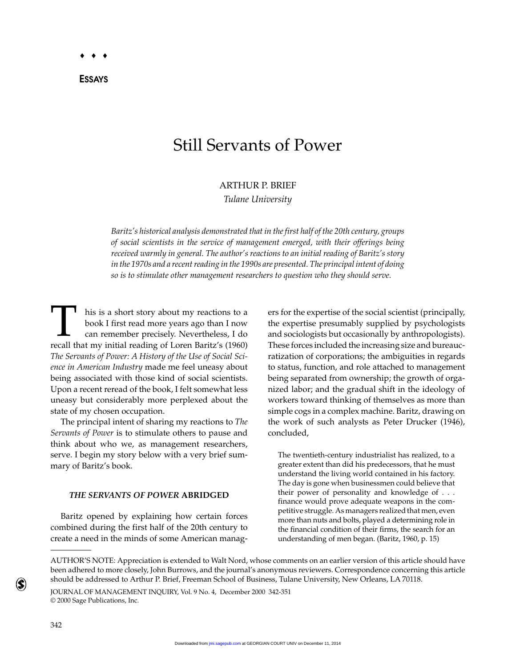♦♦♦

**ESSAYS**

# Still Servants of Power

## ARTHUR P. BRIEF

*Tulane University*

*Baritz's historical analysis demonstrated that in the first half of the 20th century, groups of social scientists in the service of management emerged, with their offerings being received warmly in general. The author's reactions to an initial reading of Baritz's story in the 1970s and a recent reading in the 1990s are presented. The principal intent of doing so is to stimulate other management researchers to question who they should serve.*

his is a short story about my reactions to a book I first read more years ago than I now can remember precisely. Nevertheless, I do recall that my initial reading of Loren Baritz's (1960) *The Servants of Power: A History of the Use of Social Science in American Industry* made me feel uneasy about being associated with those kind of social scientists. Upon a recent reread of the book, I felt somewhat less uneasy but considerably more perplexed about the state of my chosen occupation.

The principal intent of sharing my reactions to *The Servants of Power* is to stimulate others to pause and think about who we, as management researchers, serve. I begin my story below with a very brief summary of Baritz's book.

### *THE SERVANTS OF POWER* **ABRIDGED**

Baritz opened by explaining how certain forces combined during the first half of the 20th century to create a need in the minds of some American managers for the expertise of the social scientist (principally, the expertise presumably supplied by psychologists and sociologists but occasionally by anthropologists). These forces included the increasing size and bureaucratization of corporations; the ambiguities in regards to status, function, and role attached to management being separated from ownership; the growth of organized labor; and the gradual shift in the ideology of workers toward thinking of themselves as more than simple cogs in a complex machine. Baritz, drawing on the work of such analysts as Peter Drucker (1946), concluded,

The twentieth-century industrialist has realized, to a greater extent than did his predecessors, that he must understand the living world contained in his factory. The day is gone when businessmen could believe that their power of personality and knowledge of... finance would prove adequate weapons in the competitive struggle. As managers realized that men, even more than nuts and bolts, played a determining role in the financial condition of their firms, the search for an understanding of men began. (Baritz, 1960, p. 15)

AUTHOR'S NOTE: Appreciation is extended to Walt Nord, whose comments on an earlier version of this article should have been adhered to more closely, John Burrows, and the journal's anonymous reviewers. Correspondence concerning this article should be addressed to Arthur P. Brief, Freeman School of Business, Tulane University, New Orleans, LA 70118.

JOURNAL OF MANAGEMENT INQUIRY, Vol. 9 No. 4, December 2000 342-351 © 2000 Sage Publications, Inc.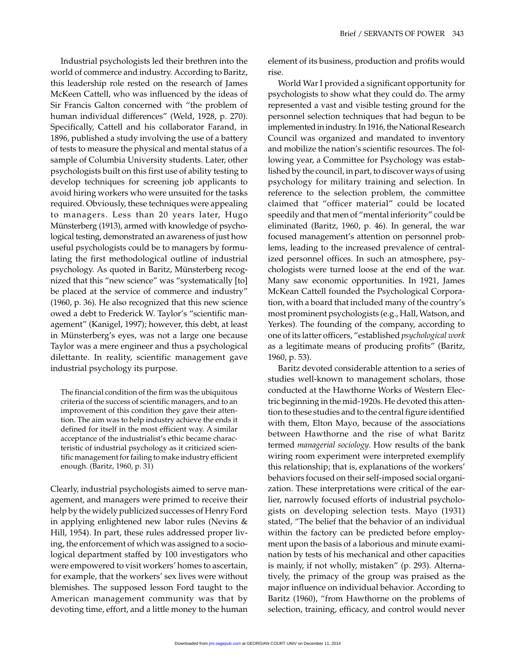Industrial psychologists led their brethren into the world of commerce and industry. According to Baritz, this leadership role rested on the research of James McKeen Cattell, who was influenced by the ideas of Sir Francis Galton concerned with "the problem of human individual differences" (Weld, 1928, p. 270). Specifically, Cattell and his collaborator Farand, in 1896, published a study involving the use of a battery of tests to measure the physical and mental status of a sample of Columbia University students. Later, other psychologists built on this first use of ability testing to develop techniques for screening job applicants to avoid hiring workers who were unsuited for the tasks required. Obviously, these techniques were appealing to managers. Less than 20 years later, Hugo Münsterberg (1913), armed with knowledge of psychological testing, demonstrated an awareness of just how useful psychologists could be to managers by formulating the first methodological outline of industrial psychology. As quoted in Baritz, Münsterberg recognized that this "new science" was "systematically [to] be placed at the service of commerce and industry" (1960, p. 36). He also recognized that this new science owed a debt to Frederick W. Taylor's "scientific management" (Kanigel, 1997); however, this debt, at least in Münsterberg's eyes, was not a large one because Taylor was a mere engineer and thus a psychological dilettante. In reality, scientific management gave industrial psychology its purpose.

The financial condition of the firm was the ubiquitous criteria of the success of scientific managers, and to an improvement of this condition they gave their attention. The aim was to help industry achieve the ends it defined for itself in the most efficient way. A similar acceptance of the industrialist's ethic became characteristic of industrial psychology as it criticized scientific management for failing to make industry efficient enough. (Baritz, 1960, p. 31)

Clearly, industrial psychologists aimed to serve management, and managers were primed to receive their help by the widely publicized successes of Henry Ford in applying enlightened new labor rules (Nevins & Hill, 1954). In part, these rules addressed proper living, the enforcement of which was assigned to a sociological department staffed by 100 investigators who were empowered to visit workers' homes to ascertain, for example, that the workers' sex lives were without blemishes. The supposed lesson Ford taught to the American management community was that by devoting time, effort, and a little money to the human

element of its business, production and profits would rise.

World War I provided a significant opportunity for psychologists to show what they could do. The army represented a vast and visible testing ground for the personnel selection techniques that had begun to be implemented in industry. In 1916, the National Research Council was organized and mandated to inventory and mobilize the nation's scientific resources. The following year, a Committee for Psychology was established by the council, in part, to discover ways of using psychology for military training and selection. In reference to the selection problem, the committee claimed that "officer material" could be located speedily and that men of "mental inferiority" could be eliminated (Baritz, 1960, p. 46). In general, the war focused management's attention on personnel problems, leading to the increased prevalence of centralized personnel offices. In such an atmosphere, psychologists were turned loose at the end of the war. Many saw economic opportunities. In 1921, James McKean Cattell founded the Psychological Corporation, with a board that included many of the country's most prominent psychologists (e.g., Hall, Watson, and Yerkes). The founding of the company, according to one of its latter officers, "established *psychological work* as a legitimate means of producing profits" (Baritz, 1960, p. 53).

Baritz devoted considerable attention to a series of studies well-known to management scholars, those conducted at the Hawthorne Works of Western Electric beginning in the mid-1920s. He devoted this attention to these studies and to the central figure identified with them, Elton Mayo, because of the associations between Hawthorne and the rise of what Baritz termed *managerial sociology*. How results of the bank wiring room experiment were interpreted exemplify this relationship; that is, explanations of the workers' behaviors focused on their self-imposed social organization. These interpretations were critical of the earlier, narrowly focused efforts of industrial psychologists on developing selection tests. Mayo (1931) stated, "The belief that the behavior of an individual within the factory can be predicted before employment upon the basis of a laborious and minute examination by tests of his mechanical and other capacities is mainly, if not wholly, mistaken" (p. 293). Alternatively, the primacy of the group was praised as the major influence on individual behavior. According to Baritz (1960), "from Hawthorne on the problems of selection, training, efficacy, and control would never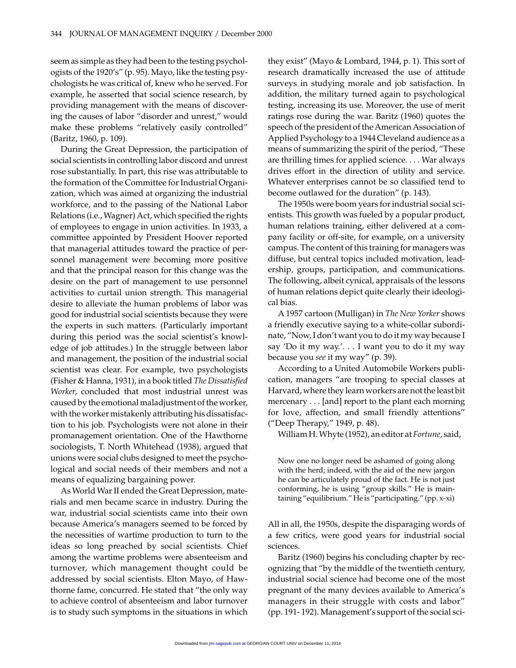seem as simple as they had been to the testing psychologists of the 1920's" (p. 95). Mayo, like the testing psychologists he was critical of, knew who he served. For example, he asserted that social science research, by providing management with the means of discovering the causes of labor "disorder and unrest," would make these problems "relatively easily controlled" (Baritz, 1960, p. 109).

During the Great Depression, the participation of social scientists in controlling labor discord and unrest rose substantially. In part, this rise was attributable to the formation of the Committee for Industrial Organization, which was aimed at organizing the industrial workforce, and to the passing of the National Labor Relations (i.e., Wagner) Act, which specified the rights of employees to engage in union activities. In 1933, a committee appointed by President Hoover reported that managerial attitudes toward the practice of personnel management were becoming more positive and that the principal reason for this change was the desire on the part of management to use personnel activities to curtail union strength. This managerial desire to alleviate the human problems of labor was good for industrial social scientists because they were the experts in such matters. (Particularly important during this period was the social scientist's knowledge of job attitudes.) In the struggle between labor and management, the position of the industrial social scientist was clear. For example, two psychologists (Fisher & Hanna, 1931), in a book titled *The Dissatisfied Worker*, concluded that most industrial unrest was caused by the emotional maladjustment of the worker, with the worker mistakenly attributing his dissatisfaction to his job. Psychologists were not alone in their promanagement orientation. One of the Hawthorne sociologists, T. North Whitehead (1938), argued that unions were social clubs designed to meet the psychological and social needs of their members and not a means of equalizing bargaining power.

As World War II ended the Great Depression, materials and men became scarce in industry. During the war, industrial social scientists came into their own because America's managers seemed to be forced by the necessities of wartime production to turn to the ideas so long preached by social scientists. Chief among the wartime problems were absenteeism and turnover, which management thought could be addressed by social scientists. Elton Mayo, of Hawthorne fame, concurred. He stated that "the only way to achieve control of absenteeism and labor turnover is to study such symptoms in the situations in which

they exist" (Mayo & Lombard, 1944, p. 1). This sort of research dramatically increased the use of attitude surveys in studying morale and job satisfaction. In addition, the military turned again to psychological testing, increasing its use. Moreover, the use of merit ratings rose during the war. Baritz (1960) quotes the speech of the president of the American Association of Applied Psychology to a 1944 Cleveland audience as a means of summarizing the spirit of the period, "These are thrilling times for applied science. . . . War always drives effort in the direction of utility and service. Whatever enterprises cannot be so classified tend to become outlawed for the duration" (p. 143).

The 1950s were boom years for industrial social scientists. This growth was fueled by a popular product, human relations training, either delivered at a company facility or off-site, for example, on a university campus. The content of this training for managers was diffuse, but central topics included motivation, leadership, groups, participation, and communications. The following, albeit cynical, appraisals of the lessons of human relations depict quite clearly their ideological bias.

A 1957 cartoon (Mulligan) in *The New Yorker* shows a friendly executive saying to a white-collar subordinate, "Now, I don't want you to do it my way because I say 'Do it my way.'. . . I want you to do it my way because you *see* it my way" (p. 39).

According to a United Automobile Workers publication, managers "are trooping to special classes at Harvard, where they learn workers are not the least bit mercenary . . . [and] report to the plant each morning for love, affection, and small friendly attentions" ("Deep Therapy," 1949, p. 48).

William H. Whyte (1952), an editor at *Fortune*, said,

Now one no longer need be ashamed of going along with the herd; indeed, with the aid of the new jargon he can be articulately proud of the fact. He is not just conforming, he is using "group skills." He is maintaining "equilibrium." He is "participating." (pp. x-xi)

All in all, the 1950s, despite the disparaging words of a few critics, were good years for industrial social sciences.

Baritz (1960) begins his concluding chapter by recognizing that "by the middle of the twentieth century, industrial social science had become one of the most pregnant of the many devices available to America's managers in their struggle with costs and labor" (pp. 191- 192). Management's support of the social sci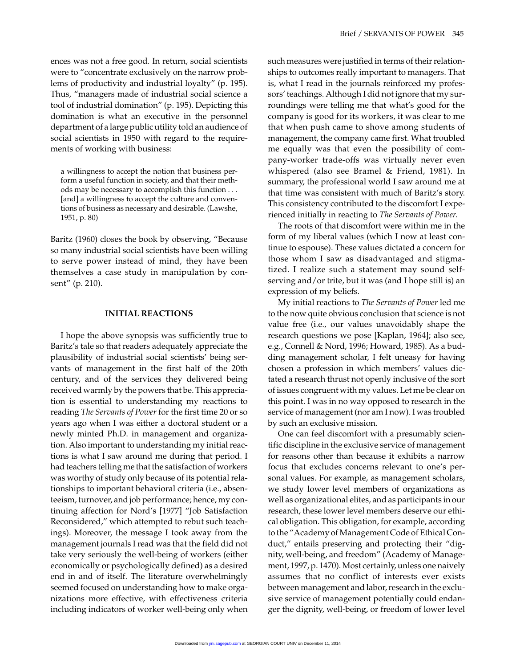ences was not a free good. In return, social scientists were to "concentrate exclusively on the narrow problems of productivity and industrial loyalty" (p. 195). Thus, "managers made of industrial social science a tool of industrial domination" (p. 195). Depicting this domination is what an executive in the personnel department of a large public utility told an audience of social scientists in 1950 with regard to the requirements of working with business:

a willingness to accept the notion that business perform a useful function in society, and that their methods may be necessary to accomplish this function . . . [and] a willingness to accept the culture and conventions of business as necessary and desirable. (Lawshe, 1951, p. 80)

Baritz (1960) closes the book by observing, "Because so many industrial social scientists have been willing to serve power instead of mind, they have been themselves a case study in manipulation by consent" (p. 210).

#### **INITIAL REACTIONS**

I hope the above synopsis was sufficiently true to Baritz's tale so that readers adequately appreciate the plausibility of industrial social scientists' being servants of management in the first half of the 20th century, and of the services they delivered being received warmly by the powers that be. This appreciation is essential to understanding my reactions to reading *The Servants of Power* for the first time 20 or so years ago when I was either a doctoral student or a newly minted Ph.D. in management and organization. Also important to understanding my initial reactions is what I saw around me during that period. I had teachers telling me that the satisfaction of workers was worthy of study only because of its potential relationships to important behavioral criteria (i.e., absenteeism, turnover, and job performance; hence, my continuing affection for Nord's [1977] "Job Satisfaction Reconsidered," which attempted to rebut such teachings). Moreover, the message I took away from the management journals I read was that the field did not take very seriously the well-being of workers (either economically or psychologically defined) as a desired end in and of itself. The literature overwhelmingly seemed focused on understanding how to make organizations more effective, with effectiveness criteria including indicators of worker well-being only when

such measures were justified in terms of their relationships to outcomes really important to managers. That is, what I read in the journals reinforced my professors' teachings. Although I did not ignore that my surroundings were telling me that what's good for the company is good for its workers, it was clear to me that when push came to shove among students of management, the company came first. What troubled me equally was that even the possibility of company-worker trade-offs was virtually never even whispered (also see Bramel & Friend, 1981). In summary, the professional world I saw around me at that time was consistent with much of Baritz's story. This consistency contributed to the discomfort I experienced initially in reacting to *The Servants of Power*.

The roots of that discomfort were within me in the form of my liberal values (which I now at least continue to espouse). These values dictated a concern for those whom I saw as disadvantaged and stigmatized. I realize such a statement may sound selfserving and/or trite, but it was (and I hope still is) an expression of my beliefs.

My initial reactions to *The Servants of Power* led me to the now quite obvious conclusion that science is not value free (i.e., our values unavoidably shape the research questions we pose [Kaplan, 1964]; also see, e.g., Connell & Nord, 1996; Howard, 1985). As a budding management scholar, I felt uneasy for having chosen a profession in which members' values dictated a research thrust not openly inclusive of the sort of issues congruent with my values. Let me be clear on this point. I was in no way opposed to research in the service of management (nor am I now). I was troubled by such an exclusive mission.

One can feel discomfort with a presumably scientific discipline in the exclusive service of management for reasons other than because it exhibits a narrow focus that excludes concerns relevant to one's personal values. For example, as management scholars, we study lower level members of organizations as well as organizational elites, and as participants in our research, these lower level members deserve our ethical obligation. This obligation, for example, according to the "Academy of Management Code of Ethical Conduct," entails preserving and protecting their "dignity, well-being, and freedom" (Academy of Management, 1997, p. 1470). Most certainly, unless one naively assumes that no conflict of interests ever exists between management and labor, research in the exclusive service of management potentially could endanger the dignity, well-being, or freedom of lower level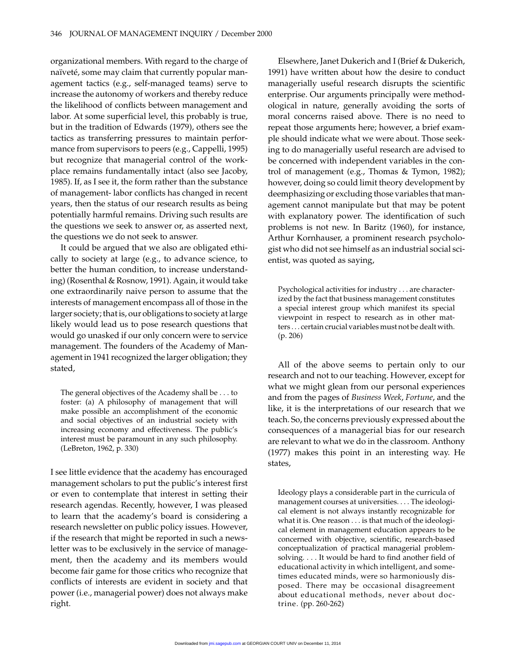organizational members. With regard to the charge of naïveté, some may claim that currently popular management tactics (e.g., self-managed teams) serve to increase the autonomy of workers and thereby reduce the likelihood of conflicts between management and labor. At some superficial level, this probably is true, but in the tradition of Edwards (1979), others see the tactics as transferring pressures to maintain performance from supervisors to peers (e.g., Cappelli, 1995) but recognize that managerial control of the workplace remains fundamentally intact (also see Jacoby, 1985). If, as I see it, the form rather than the substance of management- labor conflicts has changed in recent years, then the status of our research results as being potentially harmful remains. Driving such results are the questions we seek to answer or, as asserted next, the questions we do not seek to answer.

It could be argued that we also are obligated ethically to society at large (e.g., to advance science, to better the human condition, to increase understanding) (Rosenthal & Rosnow, 1991). Again, it would take one extraordinarily naive person to assume that the interests of management encompass all of those in the larger society; that is, our obligations to society at large likely would lead us to pose research questions that would go unasked if our only concern were to service management. The founders of the Academy of Management in 1941 recognized the larger obligation; they stated,

The general objectives of the Academy shall be . . . to foster: (a) A philosophy of management that will make possible an accomplishment of the economic and social objectives of an industrial society with increasing economy and effectiveness. The public's interest must be paramount in any such philosophy. (LeBreton, 1962, p. 330)

I see little evidence that the academy has encouraged management scholars to put the public's interest first or even to contemplate that interest in setting their research agendas. Recently, however, I was pleased to learn that the academy's board is considering a research newsletter on public policy issues. However, if the research that might be reported in such a newsletter was to be exclusively in the service of management, then the academy and its members would become fair game for those critics who recognize that conflicts of interests are evident in society and that power (i.e., managerial power) does not always make right.

Elsewhere, Janet Dukerich and I (Brief & Dukerich, 1991) have written about how the desire to conduct managerially useful research disrupts the scientific enterprise. Our arguments principally were methodological in nature, generally avoiding the sorts of moral concerns raised above. There is no need to repeat those arguments here; however, a brief example should indicate what we were about. Those seeking to do managerially useful research are advised to be concerned with independent variables in the control of management (e.g., Thomas & Tymon, 1982); however, doing so could limit theory development by deemphasizing or excluding those variables that management cannot manipulate but that may be potent with explanatory power. The identification of such problems is not new. In Baritz (1960), for instance, Arthur Kornhauser, a prominent research psychologist who did not see himself as an industrial social scientist, was quoted as saying,

Psychological activities for industry . . . are characterized by the fact that business management constitutes a special interest group which manifest its special viewpoint in respect to research as in other matters . . . certain crucial variables must not be dealt with. (p. 206)

All of the above seems to pertain only to our research and not to our teaching. However, except for what we might glean from our personal experiences and from the pages of *Business Week*, *Fortune*, and the like, it is the interpretations of our research that we teach. So, the concerns previously expressed about the consequences of a managerial bias for our research are relevant to what we do in the classroom. Anthony (1977) makes this point in an interesting way. He states,

Ideology plays a considerable part in the curricula of management courses at universities. . . . The ideological element is not always instantly recognizable for what it is. One reason . . . is that much of the ideological element in management education appears to be concerned with objective, scientific, research-based conceptualization of practical managerial problemsolving. . . . It would be hard to find another field of educational activity in which intelligent, and sometimes educated minds, were so harmoniously disposed. There may be occasional disagreement about educational methods, never about doctrine. (pp. 260-262)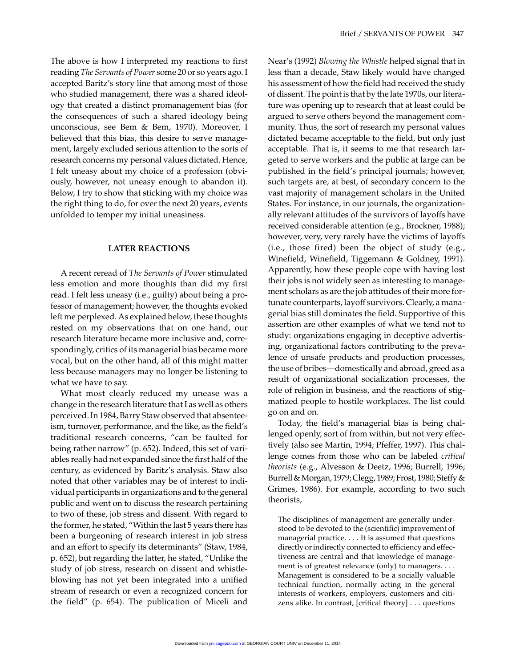The above is how I interpreted my reactions to first reading *The Servants of Power* some 20 or so years ago. I accepted Baritz's story line that among most of those who studied management, there was a shared ideology that created a distinct promanagement bias (for the consequences of such a shared ideology being unconscious, see Bem & Bem, 1970). Moreover, I believed that this bias, this desire to serve management, largely excluded serious attention to the sorts of research concerns my personal values dictated. Hence, I felt uneasy about my choice of a profession (obviously, however, not uneasy enough to abandon it). Below, I try to show that sticking with my choice was the right thing to do, for over the next 20 years, events unfolded to temper my initial uneasiness.

#### **LATER REACTIONS**

A recent reread of *The Servants of Power* stimulated less emotion and more thoughts than did my first read. I felt less uneasy (i.e., guilty) about being a professor of management; however, the thoughts evoked left me perplexed. As explained below, these thoughts rested on my observations that on one hand, our research literature became more inclusive and, correspondingly, critics of its managerial bias became more vocal, but on the other hand, all of this might matter less because managers may no longer be listening to what we have to say.

What most clearly reduced my unease was a change in the research literature that I as well as others perceived. In 1984, Barry Staw observed that absenteeism, turnover, performance, and the like, as the field's traditional research concerns, "can be faulted for being rather narrow" (p. 652). Indeed, this set of variables really had not expanded since the first half of the century, as evidenced by Baritz's analysis. Staw also noted that other variables may be of interest to individual participants in organizations and to the general public and went on to discuss the research pertaining to two of these, job stress and dissent. With regard to the former, he stated, "Within the last 5 years there has been a burgeoning of research interest in job stress and an effort to specify its determinants" (Staw, 1984, p. 652), but regarding the latter, he stated, "Unlike the study of job stress, research on dissent and whistleblowing has not yet been integrated into a unified stream of research or even a recognized concern for the field" (p. 654). The publication of Miceli and

Near's (1992) *Blowing the Whistle* helped signal that in less than a decade, Staw likely would have changed his assessment of how the field had received the study of dissent. The point is that by the late 1970s, our literature was opening up to research that at least could be argued to serve others beyond the management community. Thus, the sort of research my personal values dictated became acceptable to the field, but only just acceptable. That is, it seems to me that research targeted to serve workers and the public at large can be published in the field's principal journals; however, such targets are, at best, of secondary concern to the vast majority of management scholars in the United States. For instance, in our journals, the organizationally relevant attitudes of the survivors of layoffs have received considerable attention (e.g., Brockner, 1988); however, very, very rarely have the victims of layoffs (i.e., those fired) been the object of study (e.g., Winefield, Winefield, Tiggemann & Goldney, 1991). Apparently, how these people cope with having lost their jobs is not widely seen as interesting to management scholars as are the job attitudes of their more fortunate counterparts, layoff survivors. Clearly, a managerial bias still dominates the field. Supportive of this assertion are other examples of what we tend not to study: organizations engaging in deceptive advertising, organizational factors contributing to the prevalence of unsafe products and production processes, the use of bribes—domestically and abroad, greed as a result of organizational socialization processes, the role of religion in business, and the reactions of stigmatized people to hostile workplaces. The list could go on and on.

Today, the field's managerial bias is being challenged openly, sort of from within, but not very effectively (also see Martin, 1994; Pfeffer, 1997). This challenge comes from those who can be labeled *critical theorists* (e.g., Alvesson & Deetz, 1996; Burrell, 1996; Burrell & Morgan, 1979; Clegg, 1989; Frost, 1980; Steffy & Grimes, 1986). For example, according to two such theorists,

The disciplines of management are generally understood to be devoted to the (scientific) improvement of managerial practice. . . . It is assumed that questions directly or indirectly connected to efficiency and effectiveness are central and that knowledge of management is of greatest relevance (only) to managers. . . . Management is considered to be a socially valuable technical function, normally acting in the general interests of workers, employers, customers and citizens alike. In contrast, [critical theory] . . . questions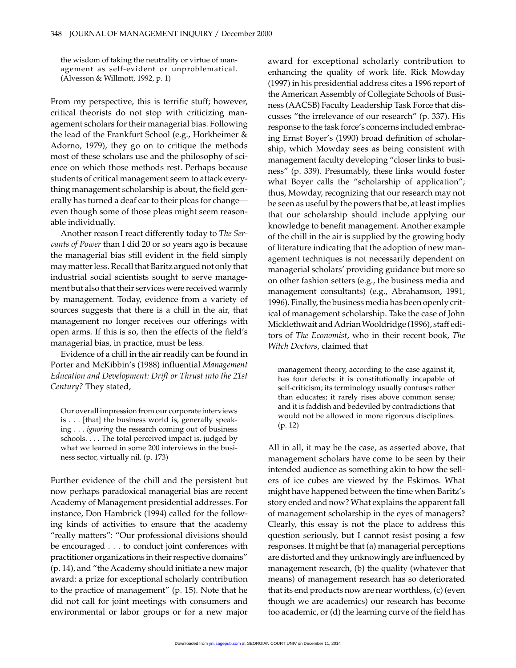the wisdom of taking the neutrality or virtue of management as self-evident or unproblematical. (Alvesson & Willmott, 1992, p. 1)

From my perspective, this is terrific stuff; however, critical theorists do not stop with criticizing management scholars for their managerial bias. Following the lead of the Frankfurt School (e.g., Horkheimer & Adorno, 1979), they go on to critique the methods most of these scholars use and the philosophy of science on which those methods rest. Perhaps because students of critical management seem to attack everything management scholarship is about, the field generally has turned a deaf ear to their pleas for change even though some of those pleas might seem reasonable individually.

Another reason I react differently today to *The Servants of Power* than I did 20 or so years ago is because the managerial bias still evident in the field simply may matter less. Recall that Baritz argued not only that industrial social scientists sought to serve management but also that their services were received warmly by management. Today, evidence from a variety of sources suggests that there is a chill in the air, that management no longer receives our offerings with open arms. If this is so, then the effects of the field's managerial bias, in practice, must be less.

Evidence of a chill in the air readily can be found in Porter and McKibbin's (1988) influential *Management Education and Development: Drift or Thrust into the 21st Century?* They stated,

Our overall impression from our corporate interviews is . . . [that] the business world is, generally speaking . . . *ignoring* the research coming out of business schools. . . . The total perceived impact is, judged by what we learned in some 200 interviews in the business sector, virtually nil. (p. 173)

Further evidence of the chill and the persistent but now perhaps paradoxical managerial bias are recent Academy of Management presidential addresses. For instance, Don Hambrick (1994) called for the following kinds of activities to ensure that the academy "really matters": "Our professional divisions should be encouraged . . . to conduct joint conferences with practitioner organizations in their respective domains" (p. 14), and "the Academy should initiate a new major award: a prize for exceptional scholarly contribution to the practice of management" (p. 15). Note that he did not call for joint meetings with consumers and environmental or labor groups or for a new major

award for exceptional scholarly contribution to enhancing the quality of work life. Rick Mowday (1997) in his presidential address cites a 1996 report of the American Assembly of Collegiate Schools of Business (AACSB) Faculty Leadership Task Force that discusses "the irrelevance of our research" (p. 337). His response to the task force's concerns included embracing Ernst Boyer's (1990) broad definition of scholarship, which Mowday sees as being consistent with management faculty developing "closer links to business" (p. 339). Presumably, these links would foster what Boyer calls the "scholarship of application"; thus, Mowday, recognizing that our research may not be seen as useful by the powers that be, at least implies that our scholarship should include applying our knowledge to benefit management. Another example of the chill in the air is supplied by the growing body of literature indicating that the adoption of new management techniques is not necessarily dependent on managerial scholars' providing guidance but more so on other fashion setters (e.g., the business media and management consultants) (e.g., Abrahamson, 1991, 1996). Finally, the business media has been openly critical of management scholarship. Take the case of John Micklethwait and Adrian Wooldridge (1996), staff editors of *The Economist*, who in their recent book, *The Witch Doctors*, claimed that

management theory, according to the case against it, has four defects: it is constitutionally incapable of self-criticism; its terminology usually confuses rather than educates; it rarely rises above common sense; and it is faddish and bedeviled by contradictions that would not be allowed in more rigorous disciplines. (p. 12)

All in all, it may be the case, as asserted above, that management scholars have come to be seen by their intended audience as something akin to how the sellers of ice cubes are viewed by the Eskimos. What might have happened between the time when Baritz's story ended and now? What explains the apparent fall of management scholarship in the eyes of managers? Clearly, this essay is not the place to address this question seriously, but I cannot resist posing a few responses. It might be that (a) managerial perceptions are distorted and they unknowingly are influenced by management research, (b) the quality (whatever that means) of management research has so deteriorated that its end products now are near worthless, (c) (even though we are academics) our research has become too academic, or (d) the learning curve of the field has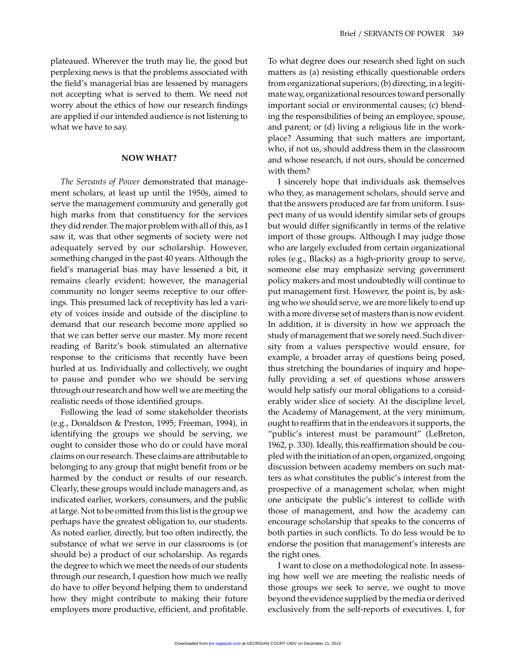plateaued. Wherever the truth may lie, the good but perplexing news is that the problems associated with the field's managerial bias are lessened by managers not accepting what is served to them. We need not worry about the ethics of how our research findings are applied if our intended audience is not listening to what we have to say.

## **NOW WHAT?**

*The Servants of Power* demonstrated that management scholars, at least up until the 1950s, aimed to serve the management community and generally got high marks from that constituency for the services they did render. The major problem with all of this, as I saw it, was that other segments of society were not adequately served by our scholarship. However, something changed in the past 40 years. Although the field's managerial bias may have lessened a bit, it remains clearly evident; however, the managerial community no longer seems receptive to our offerings. This presumed lack of receptivity has led a variety of voices inside and outside of the discipline to demand that our research become more applied so that we can better serve our master. My more recent reading of Baritz's book stimulated an alternative response to the criticisms that recently have been hurled at us. Individually and collectively, we ought to pause and ponder who we should be serving through our research and how well we are meeting the realistic needs of those identified groups.

Following the lead of some stakeholder theorists (e.g., Donaldson & Preston, 1995; Freeman, 1994), in identifying the groups we should be serving, we ought to consider those who do or could have moral claims on our research. These claims are attributable to belonging to any group that might benefit from or be harmed by the conduct or results of our research. Clearly, these groups would include managers and, as indicated earlier, workers, consumers, and the public at large. Not to be omitted from this list is the group we perhaps have the greatest obligation to, our students. As noted earlier, directly, but too often indirectly, the substance of what we serve in our classrooms is (or should be) a product of our scholarship. As regards the degree to which we meet the needs of our students through our research, I question how much we really do have to offer beyond helping them to understand how they might contribute to making their future employers more productive, efficient, and profitable.

To what degree does our research shed light on such matters as (a) resisting ethically questionable orders from organizational superiors; (b) directing, in a legitimate way, organizational resources toward personally important social or environmental causes; (c) blending the responsibilities of being an employee, spouse, and parent; or (d) living a religious life in the workplace? Assuming that such matters are important, who, if not us, should address them in the classroom and whose research, if not ours, should be concerned with them?

I sincerely hope that individuals ask themselves who they, as management scholars, should serve and that the answers produced are far from uniform. I suspect many of us would identify similar sets of groups but would differ significantly in terms of the relative import of those groups. Although I may judge those who are largely excluded from certain organizational roles (e.g., Blacks) as a high-priority group to serve, someone else may emphasize serving government policy makers and most undoubtedly will continue to put management first. However, the point is, by asking who we should serve, we are more likely to end up with a more diverse set of masters than is now evident. In addition, it is diversity in how we approach the study of management that we sorely need. Such diversity from a values perspective would ensure, for example, a broader array of questions being posed, thus stretching the boundaries of inquiry and hopefully providing a set of questions whose answers would help satisfy our moral obligations to a considerably wider slice of society. At the discipline level, the Academy of Management, at the very minimum, ought to reaffirm that in the endeavors it supports, the "public's interest must be paramount" (LeBreton, 1962, p. 330). Ideally, this reaffirmation should be coupled with the initiation of an open, organized, ongoing discussion between academy members on such matters as what constitutes the public's interest from the prospective of a management scholar, when might one anticipate the public's interest to collide with those of management, and how the academy can encourage scholarship that speaks to the concerns of both parties in such conflicts. To do less would be to endorse the position that management's interests are the right ones.

I want to close on a methodological note. In assessing how well we are meeting the realistic needs of those groups we seek to serve, we ought to move beyond the evidence supplied by the media or derived exclusively from the self-reports of executives. I, for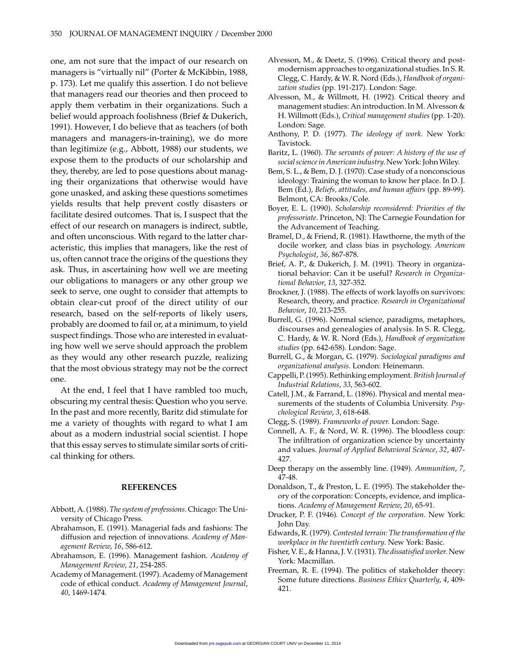one, am not sure that the impact of our research on managers is "virtually nil" (Porter & McKibbin, 1988, p. 173). Let me qualify this assertion. I do not believe that managers read our theories and then proceed to apply them verbatim in their organizations. Such a belief would approach foolishness (Brief & Dukerich, 1991). However, I do believe that as teachers (of both managers and managers-in-training), we do more than legitimize (e.g., Abbott, 1988) our students, we expose them to the products of our scholarship and they, thereby, are led to pose questions about managing their organizations that otherwise would have gone unasked, and asking these questions sometimes yields results that help prevent costly disasters or facilitate desired outcomes. That is, I suspect that the effect of our research on managers is indirect, subtle, and often unconscious. With regard to the latter characteristic, this implies that managers, like the rest of us, often cannot trace the origins of the questions they ask. Thus, in ascertaining how well we are meeting our obligations to managers or any other group we seek to serve, one ought to consider that attempts to obtain clear-cut proof of the direct utility of our research, based on the self-reports of likely users, probably are doomed to fail or, at a minimum, to yield suspect findings. Those who are interested in evaluating how well we serve should approach the problem as they would any other research puzzle, realizing that the most obvious strategy may not be the correct one.

At the end, I feel that I have rambled too much, obscuring my central thesis: Question who you serve. In the past and more recently, Baritz did stimulate for me a variety of thoughts with regard to what I am about as a modern industrial social scientist. I hope that this essay serves to stimulate similar sorts of critical thinking for others.

#### **REFERENCES**

- Abbott, A. (1988). *The system of professions*. Chicago: The University of Chicago Press.
- Abrahamson, E. (1991). Managerial fads and fashions: The diffusion and rejection of innovations. *Academy of Management Review*, *16*, 586-612.
- Abrahamson, E. (1996). Management fashion. *Academy of Management Review*, *21*, 254-285.
- Academy of Management. (1997). Academy of Management code of ethical conduct. *Academy of Management Journal*, *40*, 1469-1474.
- Alvesson, M., & Deetz, S. (1996). Critical theory and postmodernism approaches to organizational studies. In S. R. Clegg, C. Hardy, & W. R. Nord (Eds.), *Handbook of organization studies* (pp. 191-217). London: Sage.
- Alvesson, M., & Willmott, H. (1992). Critical theory and management studies: An introduction. In M. Alvesson & H. Willmott (Eds.), *Critical management studies* (pp. 1-20). London: Sage.
- Anthony, P. D. (1977). *The ideology of work*. New York: Tavistock.
- Baritz, L. (1960). *The servants of power: A history of the use of social science in American industry*. New York: John Wiley.
- Bem, S. L., & Bem, D. J. (1970). Case study of a nonconscious ideology: Training the woman to know her place. In D. J. Bem (Ed.), *Beliefs, attitudes, and human affairs* (pp. 89-99). Belmont, CA: Brooks/Cole.
- Boyer, E. L. (1990). *Scholarship reconsidered: Priorities of the professoriate*. Princeton, NJ: The Carnegie Foundation for the Advancement of Teaching.
- Bramel, D., & Friend, R. (1981). Hawthorne, the myth of the docile worker, and class bias in psychology. *American Psychologist*, *36*, 867-878.
- Brief, A. P., & Dukerich, J. M. (1991). Theory in organizational behavior: Can it be useful? *Research in Organizational Behavior*, *13*, 327-352.
- Brockner, J. (1988). The effects of work layoffs on survivors: Research, theory, and practice. *Research in Organizational Behavior*, *10*, 213-255.
- Burrell, G. (1996). Normal science, paradigms, metaphors, discourses and genealogies of analysis. In S. R. Clegg, C. Hardy, & W. R. Nord (Eds.), *Handbook of organization studies* (pp. 642-658). London: Sage.
- Burrell, G., & Morgan, G. (1979). *Sociological paradigms and organizational analysis*. London: Heinemann.
- Cappelli, P. (1995). Rethinking employment.*British Journal of Industrial Relations*, *33*, 563-602.
- Catell, J.M., & Farrand, L. (1896). Physical and mental measurements of the students of Columbia University. *Psychological Review*, *3*, 618-648.
- Clegg, S. (1989). *Frameworks of power*. London: Sage.
- Connell, A. F., & Nord, W. R. (1996). The bloodless coup: The infiltration of organization science by uncertainty and values. *Journal of Applied Behavioral Science*, *32*, 407- 427.
- Deep therapy on the assembly line. (1949). *Ammunition*, *7*, 47-48.
- Donaldson, T., & Preston, L. E. (1995). The stakeholder theory of the corporation: Concepts, evidence, and implications. *Academy of Management Review*, *20*, 65-91.
- Drucker, P. F. (1946). *Concept of the corporation*. New York: John Day.
- Edwards, R. (1979). *Contested terrain: The transformation of the workplace in the twentieth century*. New York: Basic.
- Fisher, V. E., & Hanna, J. V. (1931). *The dissatisfied worker*. New York: Macmillan.
- Freeman, R. E. (1994). The politics of stakeholder theory: Some future directions. *Business Ethics Quarterly*, *4*, 409- 421.